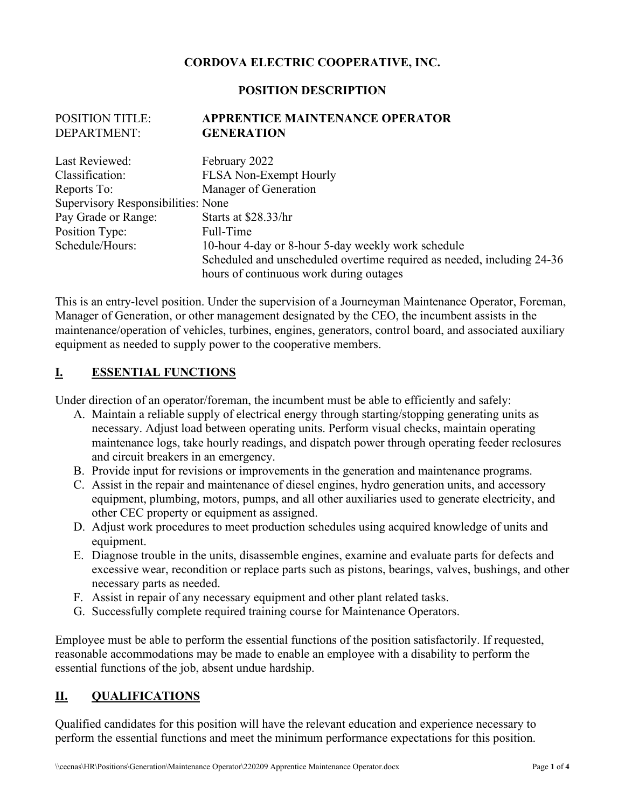## **CORDOVA ELECTRIC COOPERATIVE, INC.**

#### **POSITION DESCRIPTION**

#### POSITION TITLE: **APPRENTICE MAINTENANCE OPERATOR**  DEPARTMENT: **GENERATION**

| Last Reviewed:                     | February 2022                                                          |  |
|------------------------------------|------------------------------------------------------------------------|--|
| Classification:                    | <b>FLSA Non-Exempt Hourly</b>                                          |  |
| Reports To:                        | Manager of Generation                                                  |  |
| Supervisory Responsibilities: None |                                                                        |  |
| Pay Grade or Range:                | Starts at \$28.33/hr                                                   |  |
| Position Type:                     | Full-Time                                                              |  |
| Schedule/Hours:                    | 10-hour 4-day or 8-hour 5-day weekly work schedule                     |  |
|                                    | Scheduled and unscheduled overtime required as needed, including 24-36 |  |
|                                    | hours of continuous work during outages                                |  |

This is an entry-level position. Under the supervision of a Journeyman Maintenance Operator, Foreman, Manager of Generation, or other management designated by the CEO, the incumbent assists in the maintenance/operation of vehicles, turbines, engines, generators, control board, and associated auxiliary equipment as needed to supply power to the cooperative members.

#### **I. ESSENTIAL FUNCTIONS**

Under direction of an operator/foreman, the incumbent must be able to efficiently and safely:

- A. Maintain a reliable supply of electrical energy through starting/stopping generating units as necessary. Adjust load between operating units. Perform visual checks, maintain operating maintenance logs, take hourly readings, and dispatch power through operating feeder reclosures and circuit breakers in an emergency.
- B. Provide input for revisions or improvements in the generation and maintenance programs.
- C. Assist in the repair and maintenance of diesel engines, hydro generation units, and accessory equipment, plumbing, motors, pumps, and all other auxiliaries used to generate electricity, and other CEC property or equipment as assigned.
- D. Adjust work procedures to meet production schedules using acquired knowledge of units and equipment.
- E. Diagnose trouble in the units, disassemble engines, examine and evaluate parts for defects and excessive wear, recondition or replace parts such as pistons, bearings, valves, bushings, and other necessary parts as needed.
- F. Assist in repair of any necessary equipment and other plant related tasks.
- G. Successfully complete required training course for Maintenance Operators.

Employee must be able to perform the essential functions of the position satisfactorily. If requested, reasonable accommodations may be made to enable an employee with a disability to perform the essential functions of the job, absent undue hardship.

## **II. QUALIFICATIONS**

Qualified candidates for this position will have the relevant education and experience necessary to perform the essential functions and meet the minimum performance expectations for this position.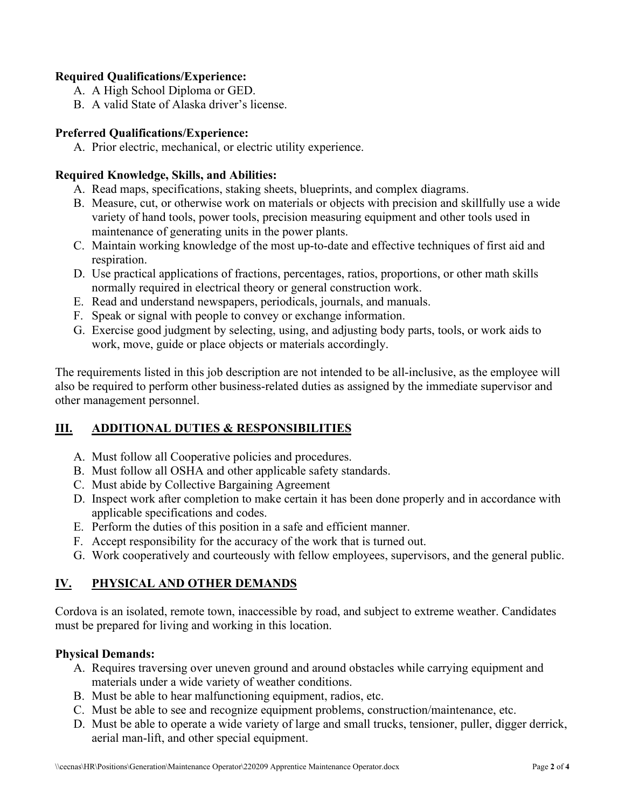### **Required Qualifications/Experience:**

- A. A High School Diploma or GED.
- B. A valid State of Alaska driver's license.

#### **Preferred Qualifications/Experience:**

A. Prior electric, mechanical, or electric utility experience.

### **Required Knowledge, Skills, and Abilities:**

- A. Read maps, specifications, staking sheets, blueprints, and complex diagrams.
- B. Measure, cut, or otherwise work on materials or objects with precision and skillfully use a wide variety of hand tools, power tools, precision measuring equipment and other tools used in maintenance of generating units in the power plants.
- C. Maintain working knowledge of the most up-to-date and effective techniques of first aid and respiration.
- D. Use practical applications of fractions, percentages, ratios, proportions, or other math skills normally required in electrical theory or general construction work.
- E. Read and understand newspapers, periodicals, journals, and manuals.
- F. Speak or signal with people to convey or exchange information.
- G. Exercise good judgment by selecting, using, and adjusting body parts, tools, or work aids to work, move, guide or place objects or materials accordingly.

The requirements listed in this job description are not intended to be all-inclusive, as the employee will also be required to perform other business-related duties as assigned by the immediate supervisor and other management personnel.

## **III. ADDITIONAL DUTIES & RESPONSIBILITIES**

- A. Must follow all Cooperative policies and procedures.
- B. Must follow all OSHA and other applicable safety standards.
- C. Must abide by Collective Bargaining Agreement
- D. Inspect work after completion to make certain it has been done properly and in accordance with applicable specifications and codes.
- E. Perform the duties of this position in a safe and efficient manner.
- F. Accept responsibility for the accuracy of the work that is turned out.
- G. Work cooperatively and courteously with fellow employees, supervisors, and the general public.

# **IV. PHYSICAL AND OTHER DEMANDS**

Cordova is an isolated, remote town, inaccessible by road, and subject to extreme weather. Candidates must be prepared for living and working in this location.

## **Physical Demands:**

- A. Requires traversing over uneven ground and around obstacles while carrying equipment and materials under a wide variety of weather conditions.
- B. Must be able to hear malfunctioning equipment, radios, etc.
- C. Must be able to see and recognize equipment problems, construction/maintenance, etc.
- D. Must be able to operate a wide variety of large and small trucks, tensioner, puller, digger derrick, aerial man-lift, and other special equipment.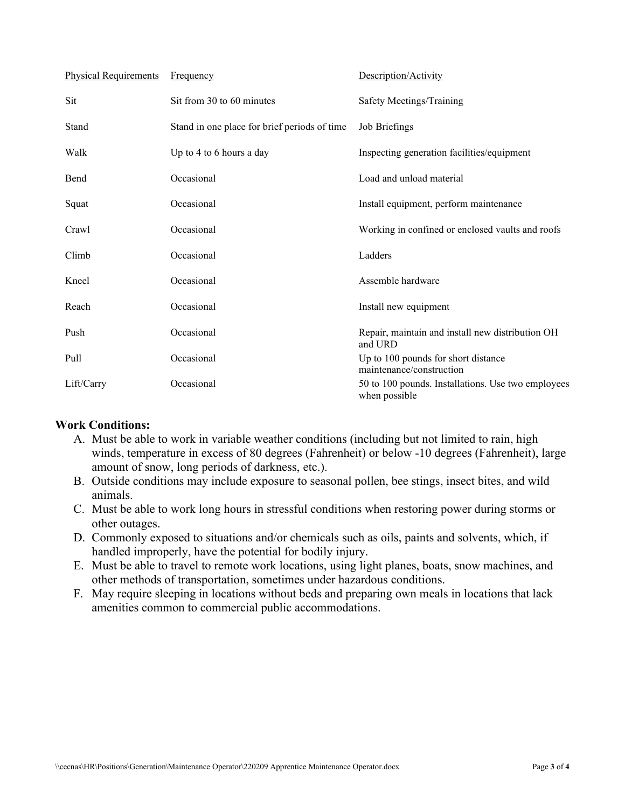| <b>Physical Requirements</b> | <b>Frequency</b>                             | Description/Activity                                                |
|------------------------------|----------------------------------------------|---------------------------------------------------------------------|
| Sit                          | Sit from 30 to 60 minutes                    | Safety Meetings/Training                                            |
| Stand                        | Stand in one place for brief periods of time | Job Briefings                                                       |
| Walk                         | Up to 4 to 6 hours a day                     | Inspecting generation facilities/equipment                          |
| Bend                         | Occasional                                   | Load and unload material                                            |
| Squat                        | Occasional                                   | Install equipment, perform maintenance                              |
| Crawl                        | Occasional                                   | Working in confined or enclosed vaults and roofs                    |
| Climb                        | Occasional                                   | Ladders                                                             |
| Kneel                        | Occasional                                   | Assemble hardware                                                   |
| Reach                        | Occasional                                   | Install new equipment                                               |
| Push                         | Occasional                                   | Repair, maintain and install new distribution OH<br>and URD         |
| Pull                         | Occasional                                   | Up to 100 pounds for short distance<br>maintenance/construction     |
| Lift/Carry                   | Occasional                                   | 50 to 100 pounds. Installations. Use two employees<br>when possible |

#### **Work Conditions:**

- A. Must be able to work in variable weather conditions (including but not limited to rain, high winds, temperature in excess of 80 degrees (Fahrenheit) or below -10 degrees (Fahrenheit), large amount of snow, long periods of darkness, etc.).
- B. Outside conditions may include exposure to seasonal pollen, bee stings, insect bites, and wild animals.
- C. Must be able to work long hours in stressful conditions when restoring power during storms or other outages.
- D. Commonly exposed to situations and/or chemicals such as oils, paints and solvents, which, if handled improperly, have the potential for bodily injury.
- E. Must be able to travel to remote work locations, using light planes, boats, snow machines, and other methods of transportation, sometimes under hazardous conditions.
- F. May require sleeping in locations without beds and preparing own meals in locations that lack amenities common to commercial public accommodations.